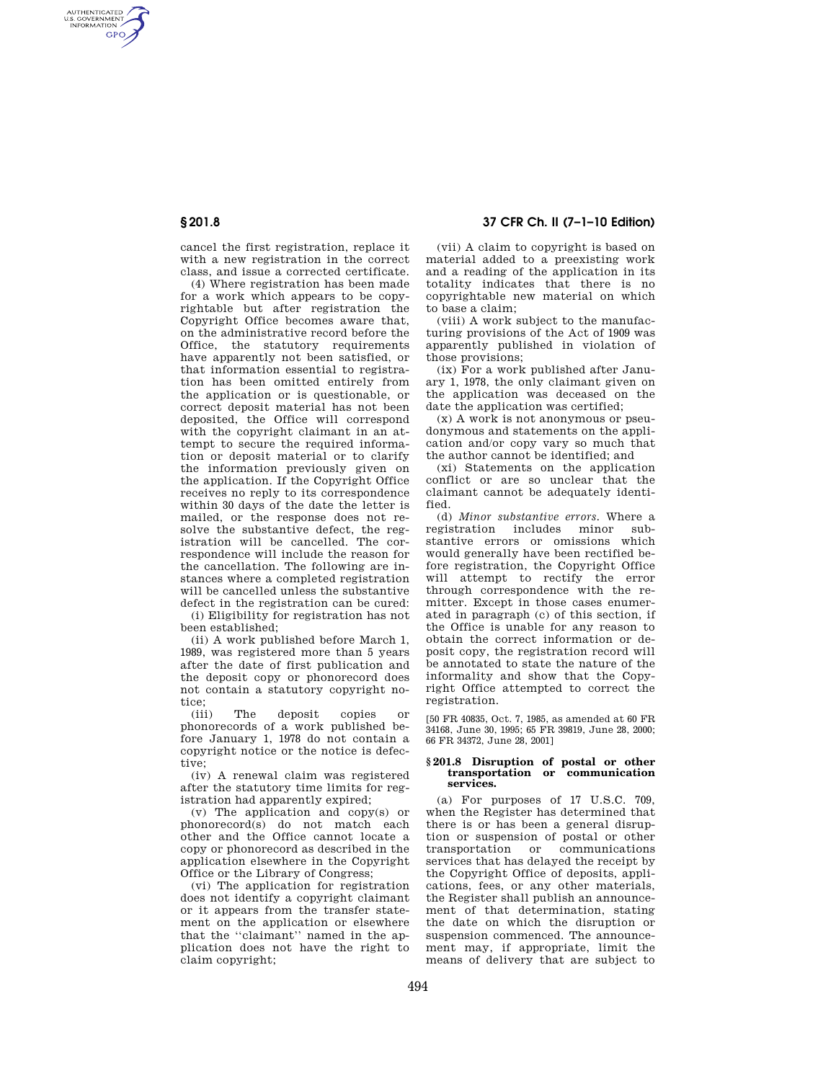AUTHENTICATED<br>U.S. GOVERNMENT<br>INFORMATION **GPO** 

> cancel the first registration, replace it with a new registration in the correct class, and issue a corrected certificate.

(4) Where registration has been made for a work which appears to be copyrightable but after registration the Copyright Office becomes aware that, on the administrative record before the Office, the statutory requirements have apparently not been satisfied, or that information essential to registration has been omitted entirely from the application or is questionable, or correct deposit material has not been deposited, the Office will correspond with the copyright claimant in an attempt to secure the required information or deposit material or to clarify the information previously given on the application. If the Copyright Office receives no reply to its correspondence within 30 days of the date the letter is mailed, or the response does not resolve the substantive defect, the registration will be cancelled. The correspondence will include the reason for the cancellation. The following are instances where a completed registration will be cancelled unless the substantive defect in the registration can be cured:

(i) Eligibility for registration has not been established;

(ii) A work published before March 1, 1989, was registered more than 5 years after the date of first publication and the deposit copy or phonorecord does not contain a statutory copyright notice;<br>(iii)

The deposit copies or phonorecords of a work published before January 1, 1978 do not contain a copyright notice or the notice is defective;

(iv) A renewal claim was registered after the statutory time limits for registration had apparently expired;

(v) The application and copy(s) or phonorecord(s) do not match each other and the Office cannot locate a copy or phonorecord as described in the application elsewhere in the Copyright Office or the Library of Congress;

(vi) The application for registration does not identify a copyright claimant or it appears from the transfer statement on the application or elsewhere that the "claimant" named in the application does not have the right to claim copyright;

# **§ 201.8 37 CFR Ch. II (7–1–10 Edition)**

(vii) A claim to copyright is based on material added to a preexisting work and a reading of the application in its totality indicates that there is no copyrightable new material on which to base a claim;

(viii) A work subject to the manufacturing provisions of the Act of 1909 was apparently published in violation of those provisions;

(ix) For a work published after January 1, 1978, the only claimant given on the application was deceased on the date the application was certified;

(x) A work is not anonymous or pseudonymous and statements on the application and/or copy vary so much that the author cannot be identified; and

(xi) Statements on the application conflict or are so unclear that the claimant cannot be adequately identified.

(d) *Minor substantive errors.* Where a registration includes minor substantive errors or omissions which would generally have been rectified before registration, the Copyright Office will attempt to rectify the error through correspondence with the remitter. Except in those cases enumerated in paragraph (c) of this section, if the Office is unable for any reason to obtain the correct information or deposit copy, the registration record will be annotated to state the nature of the informality and show that the Copyright Office attempted to correct the registration.

[50 FR 40835, Oct. 7, 1985, as amended at 60 FR 34168, June 30, 1995; 65 FR 39819, June 28, 2000; 66 FR 34372, June 28, 2001]

## **§ 201.8 Disruption of postal or other transportation or communication services.**

(a) For purposes of 17 U.S.C. 709, when the Register has determined that there is or has been a general disruption or suspension of postal or other transportation or communications services that has delayed the receipt by the Copyright Office of deposits, applications, fees, or any other materials, the Register shall publish an announcement of that determination, stating the date on which the disruption or suspension commenced. The announcement may, if appropriate, limit the means of delivery that are subject to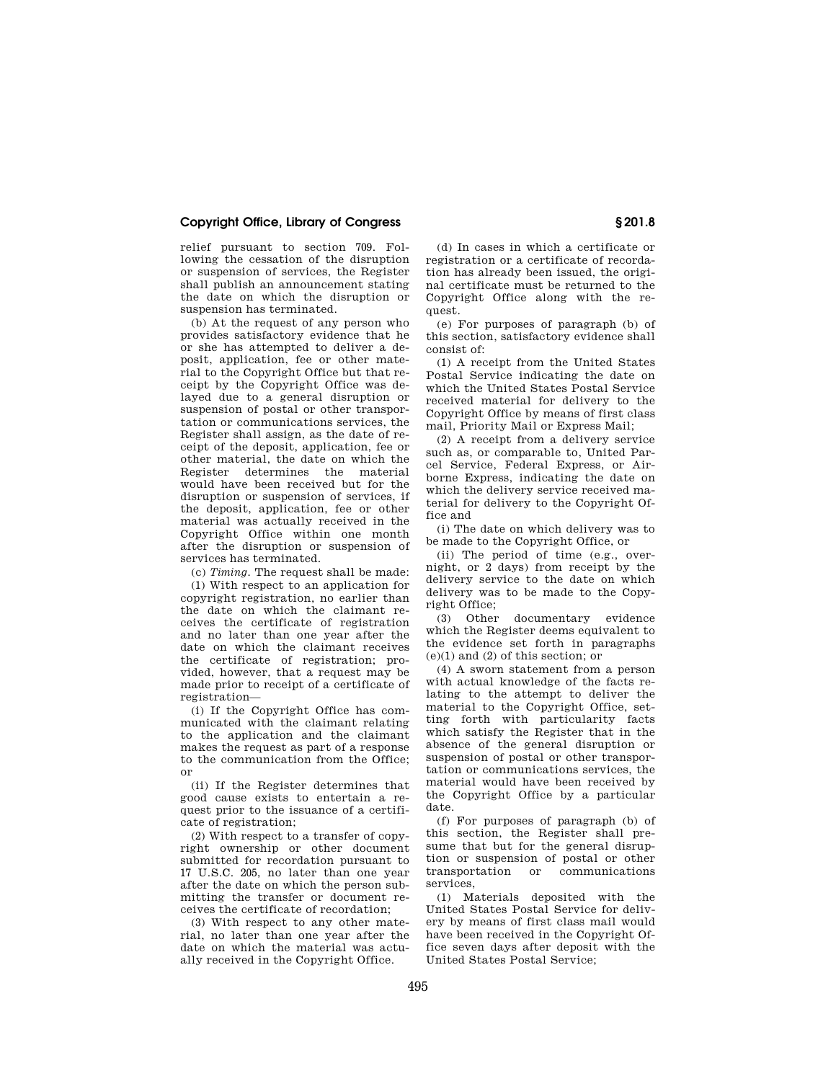## **Copyright Office, Library of Congress § 201.8**

relief pursuant to section 709. Following the cessation of the disruption or suspension of services, the Register shall publish an announcement stating the date on which the disruption or suspension has terminated.

(b) At the request of any person who provides satisfactory evidence that he or she has attempted to deliver a deposit, application, fee or other material to the Copyright Office but that receipt by the Copyright Office was delayed due to a general disruption or suspension of postal or other transportation or communications services, the Register shall assign, as the date of receipt of the deposit, application, fee or other material, the date on which the Register determines the material would have been received but for the disruption or suspension of services, if the deposit, application, fee or other material was actually received in the Copyright Office within one month after the disruption or suspension of services has terminated.

(c) *Timing.* The request shall be made:

(1) With respect to an application for copyright registration, no earlier than the date on which the claimant receives the certificate of registration and no later than one year after the date on which the claimant receives the certificate of registration; provided, however, that a request may be made prior to receipt of a certificate of registration—

(i) If the Copyright Office has communicated with the claimant relating to the application and the claimant makes the request as part of a response to the communication from the Office; or

(ii) If the Register determines that good cause exists to entertain a request prior to the issuance of a certificate of registration;

(2) With respect to a transfer of copyright ownership or other document submitted for recordation pursuant to 17 U.S.C. 205, no later than one year after the date on which the person submitting the transfer or document receives the certificate of recordation;

(3) With respect to any other material, no later than one year after the date on which the material was actually received in the Copyright Office.

(d) In cases in which a certificate or registration or a certificate of recordation has already been issued, the original certificate must be returned to the Copyright Office along with the request.

(e) For purposes of paragraph (b) of this section, satisfactory evidence shall consist of:

(1) A receipt from the United States Postal Service indicating the date on which the United States Postal Service received material for delivery to the Copyright Office by means of first class mail, Priority Mail or Express Mail;

(2) A receipt from a delivery service such as, or comparable to, United Parcel Service, Federal Express, or Airborne Express, indicating the date on which the delivery service received material for delivery to the Copyright Office and

(i) The date on which delivery was to be made to the Copyright Office, or

(ii) The period of time (e.g., overnight, or 2 days) from receipt by the delivery service to the date on which delivery was to be made to the Copyright Office;

(3) Other documentary evidence which the Register deems equivalent to the evidence set forth in paragraphs (e)(1) and (2) of this section; or

(4) A sworn statement from a person with actual knowledge of the facts relating to the attempt to deliver the material to the Copyright Office, setting forth with particularity facts which satisfy the Register that in the absence of the general disruption or suspension of postal or other transportation or communications services, the material would have been received by the Copyright Office by a particular date.

(f) For purposes of paragraph (b) of this section, the Register shall presume that but for the general disruption or suspension of postal or other transportation or communications services,

(1) Materials deposited with the United States Postal Service for delivery by means of first class mail would have been received in the Copyright Office seven days after deposit with the United States Postal Service;